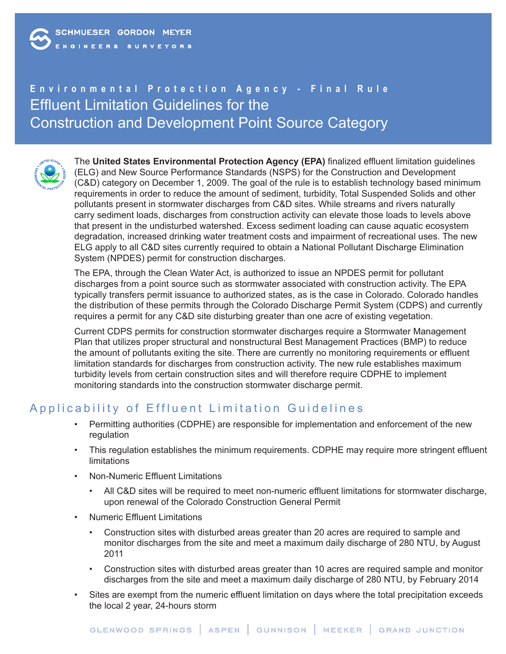# **Environmental Protection Agency - Final Rule** Effluent Limitation Guidelines for the Construction and Development Point Source Category



The **United States Environmental Protection Agency (EPA)** finalized effluent limitation guidelines (ELG) and New Source Performance Standards (NSPS) for the Construction and Development (C&D) category on December 1, 2009. The goal of the rule is to establish technology based minimum requirements in order to reduce the amount of sediment, turbidity, Total Suspended Solids and other pollutants present in stormwater discharges from C&D sites. While streams and rivers naturally carry sediment loads, discharges from construction activity can elevate those loads to levels above that present in the undisturbed watershed. Excess sediment loading can cause aquatic ecosystem degradation, increased drinking water treatment costs and impairment of recreational uses. The new ELG apply to all C&D sites currently required to obtain a National Pollutant Discharge Elimination System (NPDES) permit for construction discharges.

The EPA, through the Clean Water Act, is authorized to issue an NPDES permit for pollutant discharges from a point source such as stormwater associated with construction activity. The EPA typically transfers permit issuance to authorized states, as is the case in Colorado. Colorado handles the distribution of these permits through the Colorado Discharge Permit System (CDPS) and currently requires a permit for any C&D site disturbing greater than one acre of existing vegetation.

Current CDPS permits for construction stormwater discharges require a Stormwater Management Plan that utilizes proper structural and nonstructural Best Management Practices (BMP) to reduce the amount of pollutants exiting the site. There are currently no monitoring requirements or effluent limitation standards for discharges from construction activity. The new rule establishes maximum turbidity levels from certain construction sites and will therefore require CDPHE to implement monitoring standards into the construction stormwater discharge permit.

# Applicability of Effluent Limitation Guidelines

- Permitting authorities (CDPHE) are responsible for implementation and enforcement of the new regulation
- This regulation establishes the minimum requirements. CDPHE may require more stringent effluent limitations
- Non-Numeric Effluent Limitations
	- All C&D sites will be required to meet non-numeric effluent limitations for stormwater discharge, upon renewal of the Colorado Construction General Permit
- Numeric Effluent Limitations
	- Construction sites with disturbed areas greater than 20 acres are required to sample and monitor discharges from the site and meet a maximum daily discharge of 280 NTU, by August 2011
	- Construction sites with disturbed areas greater than 10 acres are required sample and monitor discharges from the site and meet a maximum daily discharge of 280 NTU, by February 2014
- Sites are exempt from the numeric effluent limitation on days where the total precipitation exceeds the local 2 year, 24-hours storm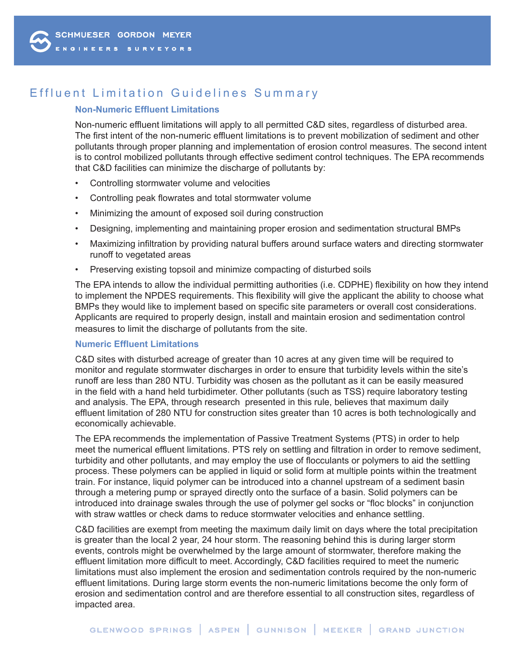# Effluent Limitation Guidelines Summary

### **Non-Numeric Effluent Limitations**

Non-numeric effluent limitations will apply to all permitted C&D sites, regardless of disturbed area. The first intent of the non-numeric effluent limitations is to prevent mobilization of sediment and other pollutants through proper planning and implementation of erosion control measures. The second intent is to control mobilized pollutants through effective sediment control techniques. The EPA recommends that C&D facilities can minimize the discharge of pollutants by:

- Controlling stormwater volume and velocities
- Controlling peak flowrates and total stormwater volume
- Minimizing the amount of exposed soil during construction
- Designing, implementing and maintaining proper erosion and sedimentation structural BMPs
- Maximizing infiltration by providing natural buffers around surface waters and directing stormwater runoff to vegetated areas
- Preserving existing topsoil and minimize compacting of disturbed soils

The EPA intends to allow the individual permitting authorities (i.e. CDPHE) flexibility on how they intend to implement the NPDES requirements. This flexibility will give the applicant the ability to choose what BMPs they would like to implement based on specific site parameters or overall cost considerations. Applicants are required to properly design, install and maintain erosion and sedimentation control measures to limit the discharge of pollutants from the site.

### **Numeric Effluent Limitations**

C&D sites with disturbed acreage of greater than 10 acres at any given time will be required to monitor and regulate stormwater discharges in order to ensure that turbidity levels within the site's runoff are less than 280 NTU. Turbidity was chosen as the pollutant as it can be easily measured in the field with a hand held turbidimeter. Other pollutants (such as TSS) require laboratory testing and analysis. The EPA, through research presented in this rule, believes that maximum daily effluent limitation of 280 NTU for construction sites greater than 10 acres is both technologically and economically achievable.

The EPA recommends the implementation of Passive Treatment Systems (PTS) in order to help meet the numerical effluent limitations. PTS rely on settling and filtration in order to remove sediment, turbidity and other pollutants, and may employ the use of flocculants or polymers to aid the settling process. These polymers can be applied in liquid or solid form at multiple points within the treatment train. For instance, liquid polymer can be introduced into a channel upstream of a sediment basin through a metering pump or sprayed directly onto the surface of a basin. Solid polymers can be introduced into drainage swales through the use of polymer gel socks or "floc blocks" in conjunction with straw wattles or check dams to reduce stormwater velocities and enhance settling.

C&D facilities are exempt from meeting the maximum daily limit on days where the total precipitation is greater than the local 2 year, 24 hour storm. The reasoning behind this is during larger storm events, controls might be overwhelmed by the large amount of stormwater, therefore making the effluent limitation more difficult to meet. Accordingly, C&D facilities required to meet the numeric limitations must also implement the erosion and sedimentation controls required by the non-numeric effluent limitations. During large storm events the non-numeric limitations become the only form of erosion and sedimentation control and are therefore essential to all construction sites, regardless of impacted area.